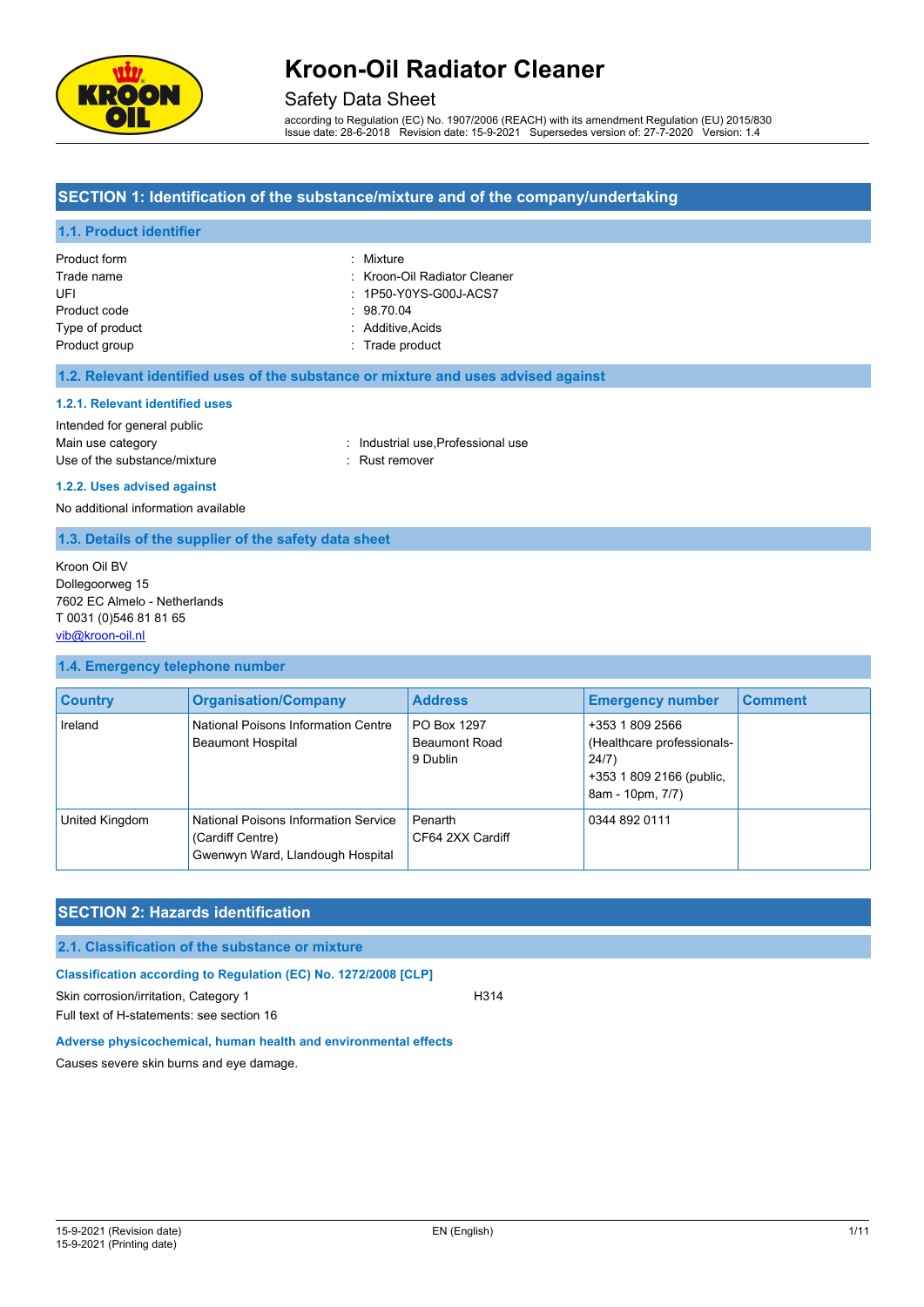

### Safety Data Sheet

according to Regulation (EC) No. 1907/2006 (REACH) with its amendment Regulation (EU) 2015/830 Issue date: 28-6-2018 Revision date: 15-9-2021 Supersedes version of: 27-7-2020 Version: 1.4

### **SECTION 1: Identification of the substance/mixture and of the company/undertaking**

#### **1.1. Product identifier**

| Product form    | : Mixture                    |
|-----------------|------------------------------|
| Trade name      | : Kroon-Oil Radiator Cleaner |
| UFI             | : 1P50-Y0YS-G00J-ACS7        |
| Product code    | . 98.70.04                   |
| Type of product | : Additive Acids             |
| Product group   | : Trade product              |

#### **1.2. Relevant identified uses of the substance or mixture and uses advised against**

#### **1.2.1. Relevant identified uses**

Intended for general public Main use category **Main use category industrial use, Professional use** Use of the substance/mixture in the substance/mixture in the substance of the substance in the substance of the substance of the substance of the substance of the substance of the substance of the substance of the substanc

## **1.2.2. Uses advised against**

No additional information available

#### **1.3. Details of the supplier of the safety data sheet**

Kroon Oil BV Dollegoorweg 15 7602 EC Almelo - Netherlands T 0031 (0)546 81 81 65 [vib@kroon-oil.nl](mailto:vib@kroon-oil.nl)

#### **1.4. Emergency telephone number**

| <b>Country</b> | <b>Organisation/Company</b>                                                                  | <b>Address</b>                                  | <b>Emergency number</b>                                                                                | <b>Comment</b> |
|----------------|----------------------------------------------------------------------------------------------|-------------------------------------------------|--------------------------------------------------------------------------------------------------------|----------------|
| Ireland        | National Poisons Information Centre<br><b>Beaumont Hospital</b>                              | PO Box 1297<br><b>Beaumont Road</b><br>9 Dublin | +353 1 809 2566<br>(Healthcare professionals-<br>24/7)<br>+353 1 809 2166 (public,<br>8am - 10pm, 7/7) |                |
| United Kingdom | National Poisons Information Service<br>(Cardiff Centre)<br>Gwenwyn Ward, Llandough Hospital | Penarth<br>CF64 2XX Cardiff                     | 0344 892 0111                                                                                          |                |

### **SECTION 2: Hazards identification**

#### **2.1. Classification of the substance or mixture**

**Classification according to Regulation (EC) No. 1272/2008 [CLP]**

Skin corrosion/irritation, Category 1 H314

Full text of H-statements: see section 16

**Adverse physicochemical, human health and environmental effects**

Causes severe skin burns and eye damage.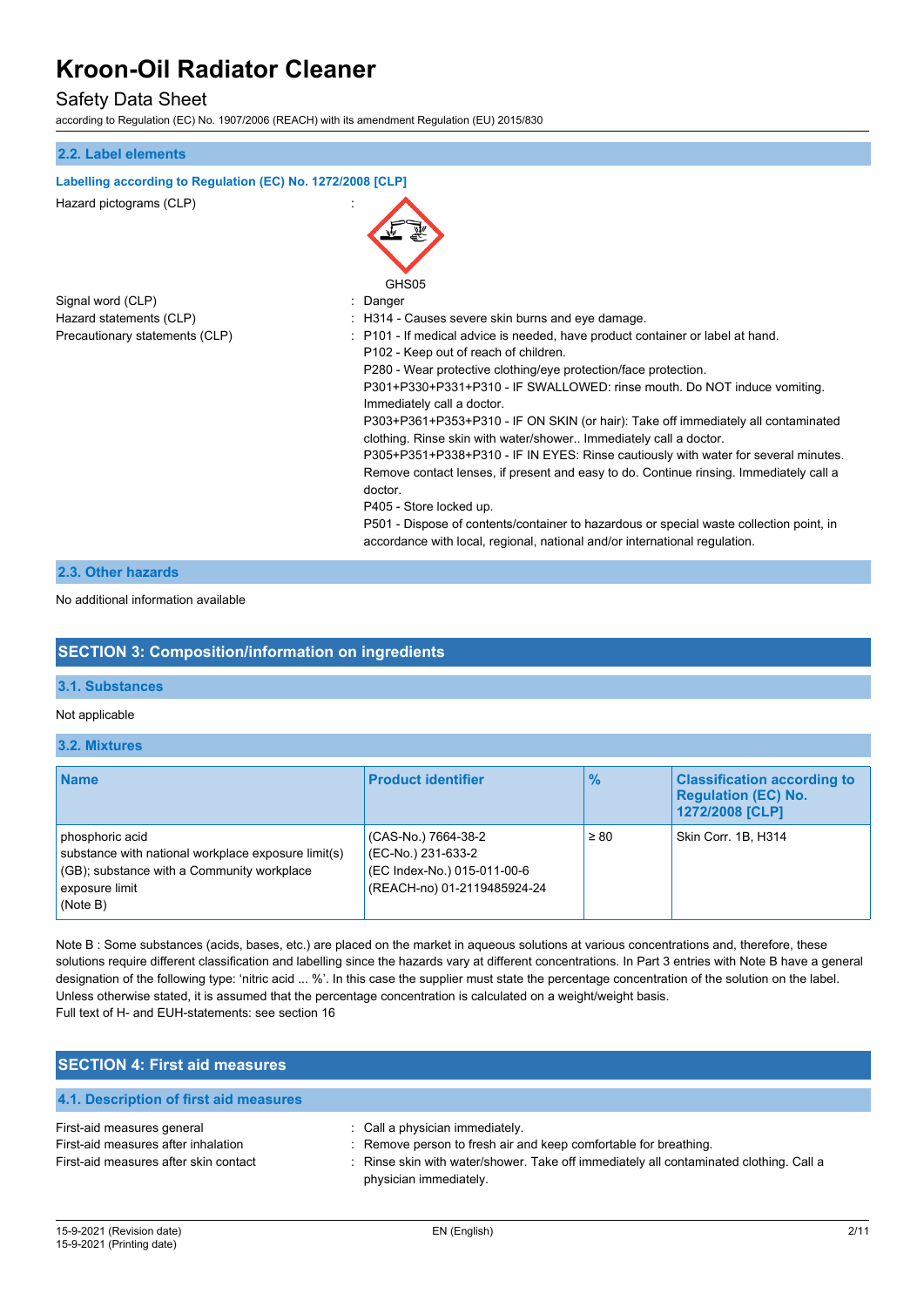## Safety Data Sheet

according to Regulation (EC) No. 1907/2006 (REACH) with its amendment Regulation (EU) 2015/830

| 2.2. Label elements                                        |                                                                                                                                                                                                                                                                                                                                                                                                                                                                                                                                                                                                                                                                                                                                                                                                                                                             |
|------------------------------------------------------------|-------------------------------------------------------------------------------------------------------------------------------------------------------------------------------------------------------------------------------------------------------------------------------------------------------------------------------------------------------------------------------------------------------------------------------------------------------------------------------------------------------------------------------------------------------------------------------------------------------------------------------------------------------------------------------------------------------------------------------------------------------------------------------------------------------------------------------------------------------------|
| Labelling according to Regulation (EC) No. 1272/2008 [CLP] |                                                                                                                                                                                                                                                                                                                                                                                                                                                                                                                                                                                                                                                                                                                                                                                                                                                             |
| Hazard pictograms (CLP)                                    | GHS05                                                                                                                                                                                                                                                                                                                                                                                                                                                                                                                                                                                                                                                                                                                                                                                                                                                       |
| Signal word (CLP)                                          | Danger                                                                                                                                                                                                                                                                                                                                                                                                                                                                                                                                                                                                                                                                                                                                                                                                                                                      |
| Hazard statements (CLP)                                    | H314 - Causes severe skin burns and eye damage.                                                                                                                                                                                                                                                                                                                                                                                                                                                                                                                                                                                                                                                                                                                                                                                                             |
| Precautionary statements (CLP)                             | P101 - If medical advice is needed, have product container or label at hand.<br>P102 - Keep out of reach of children.<br>P280 - Wear protective clothing/eye protection/face protection.<br>P301+P330+P331+P310 - IF SWALLOWED: rinse mouth. Do NOT induce vomiting.<br>Immediately call a doctor.<br>P303+P361+P353+P310 - IF ON SKIN (or hair): Take off immediately all contaminated<br>clothing. Rinse skin with water/shower Immediately call a doctor.<br>P305+P351+P338+P310 - IF IN EYES: Rinse cautiously with water for several minutes.<br>Remove contact lenses, if present and easy to do. Continue rinsing. Immediately call a<br>doctor.<br>P405 - Store locked up.<br>P501 - Dispose of contents/container to hazardous or special waste collection point, in<br>accordance with local, regional, national and/or international regulation. |
| 2.3. Other hazards                                         |                                                                                                                                                                                                                                                                                                                                                                                                                                                                                                                                                                                                                                                                                                                                                                                                                                                             |

No additional information available

### **SECTION 3: Composition/information on ingredients**

#### **3.1. Substances**

Not applicable

#### **3.2. Mixtures**

| <b>Name</b>                                                                                                                                        | <b>Product identifier</b>                                                                               | $\frac{9}{6}$ | <b>Classification according to</b><br><b>Requiation (EC) No.</b><br>1272/2008 [CLP] |
|----------------------------------------------------------------------------------------------------------------------------------------------------|---------------------------------------------------------------------------------------------------------|---------------|-------------------------------------------------------------------------------------|
| phosphoric acid<br>substance with national workplace exposure limit(s)<br>(GB); substance with a Community workplace<br>exposure limit<br>(Note B) | (CAS-No.) 7664-38-2<br>(EC-No.) 231-633-2<br>(EC Index-No.) 015-011-00-6<br>(REACH-no) 01-2119485924-24 | $\geq 80$     | Skin Corr. 1B. H314                                                                 |

Note B : Some substances (acids, bases, etc.) are placed on the market in aqueous solutions at various concentrations and, therefore, these solutions require different classification and labelling since the hazards vary at different concentrations. In Part 3 entries with Note B have a general designation of the following type: 'nitric acid ... %'. In this case the supplier must state the percentage concentration of the solution on the label. Unless otherwise stated, it is assumed that the percentage concentration is calculated on a weight/weight basis. Full text of H- and EUH-statements: see section 16

| <b>SECTION 4: First aid measures</b>                                                                       |                                                                                                                                                                                                                         |
|------------------------------------------------------------------------------------------------------------|-------------------------------------------------------------------------------------------------------------------------------------------------------------------------------------------------------------------------|
| 4.1. Description of first aid measures                                                                     |                                                                                                                                                                                                                         |
| First-aid measures general<br>First-aid measures after inhalation<br>First-aid measures after skin contact | : Call a physician immediately.<br>: Remove person to fresh air and keep comfortable for breathing.<br>: Rinse skin with water/shower. Take off immediately all contaminated clothing. Call a<br>physician immediately. |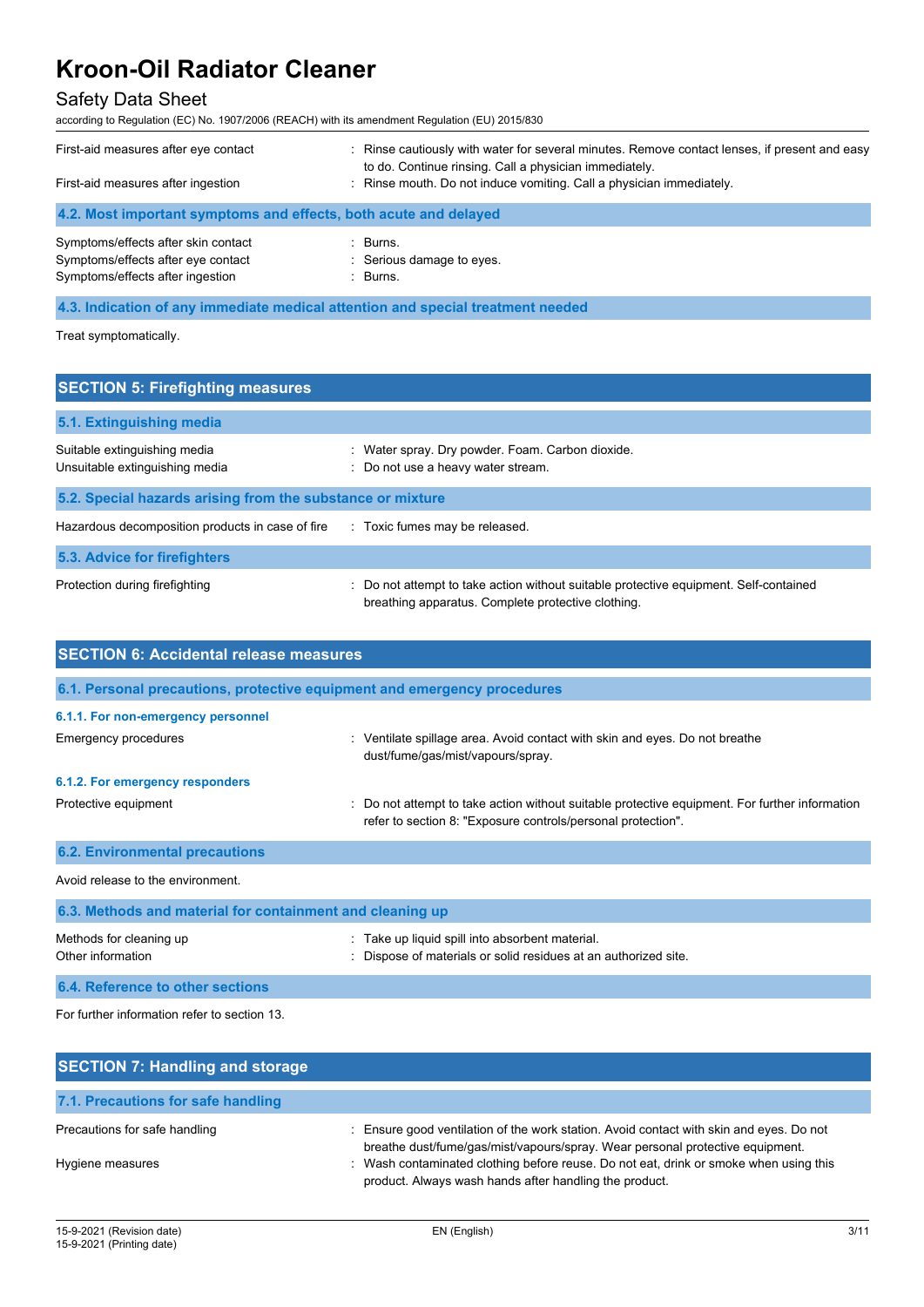## Safety Data Sheet

according to Regulation (EC) No. 1907/2006 (REACH) with its amendment Regulation (EU) 2015/830

| First-aid measures after eye contact<br>First-aid measures after ingestion                                    | : Rinse cautiously with water for several minutes. Remove contact lenses, if present and easy<br>to do. Continue rinsing. Call a physician immediately.<br>: Rinse mouth. Do not induce vomiting. Call a physician immediately. |
|---------------------------------------------------------------------------------------------------------------|---------------------------------------------------------------------------------------------------------------------------------------------------------------------------------------------------------------------------------|
| 4.2. Most important symptoms and effects, both acute and delayed                                              |                                                                                                                                                                                                                                 |
| Symptoms/effects after skin contact<br>Symptoms/effects after eye contact<br>Symptoms/effects after ingestion | $\therefore$ Burns.<br>: Serious damage to eyes.<br>: Burns.                                                                                                                                                                    |

**4.3. Indication of any immediate medical attention and special treatment needed**

Treat symptomatically.

| <b>SECTION 5: Firefighting measures</b>                        |                                                                                                                                             |
|----------------------------------------------------------------|---------------------------------------------------------------------------------------------------------------------------------------------|
| 5.1. Extinguishing media                                       |                                                                                                                                             |
| Suitable extinguishing media<br>Unsuitable extinguishing media | : Water spray. Dry powder. Foam. Carbon dioxide.<br>: Do not use a heavy water stream.                                                      |
| 5.2. Special hazards arising from the substance or mixture     |                                                                                                                                             |
| Hazardous decomposition products in case of fire               | : Toxic fumes may be released.                                                                                                              |
| 5.3. Advice for firefighters                                   |                                                                                                                                             |
| Protection during firefighting                                 | : Do not attempt to take action without suitable protective equipment. Self-contained<br>breathing apparatus. Complete protective clothing. |

| <b>SECTION 6: Accidental release measures</b>                            |                                                                                                                                                                |  |  |  |
|--------------------------------------------------------------------------|----------------------------------------------------------------------------------------------------------------------------------------------------------------|--|--|--|
| 6.1. Personal precautions, protective equipment and emergency procedures |                                                                                                                                                                |  |  |  |
| 6.1.1. For non-emergency personnel                                       |                                                                                                                                                                |  |  |  |
| Emergency procedures                                                     | : Ventilate spillage area. Avoid contact with skin and eyes. Do not breathe<br>dust/fume/gas/mist/vapours/spray.                                               |  |  |  |
| 6.1.2. For emergency responders                                          |                                                                                                                                                                |  |  |  |
| Protective equipment                                                     | : Do not attempt to take action without suitable protective equipment. For further information<br>refer to section 8: "Exposure controls/personal protection". |  |  |  |
| <b>6.2. Environmental precautions</b>                                    |                                                                                                                                                                |  |  |  |
| Avoid release to the environment.                                        |                                                                                                                                                                |  |  |  |
| 6.3. Methods and material for containment and cleaning up                |                                                                                                                                                                |  |  |  |
| Methods for cleaning up<br>Other information                             | : Take up liquid spill into absorbent material.<br>Dispose of materials or solid residues at an authorized site.                                               |  |  |  |

**6.4. Reference to other sections**

For further information refer to section 13.

| <b>SECTION 7: Handling and storage</b> |                                                                                                                                                                          |
|----------------------------------------|--------------------------------------------------------------------------------------------------------------------------------------------------------------------------|
| 7.1. Precautions for safe handling     |                                                                                                                                                                          |
| Precautions for safe handling          | : Ensure good ventilation of the work station. Avoid contact with skin and eyes. Do not<br>breathe dust/fume/gas/mist/vapours/spray. Wear personal protective equipment. |
| Hygiene measures                       | : Wash contaminated clothing before reuse. Do not eat, drink or smoke when using this<br>product. Always wash hands after handling the product.                          |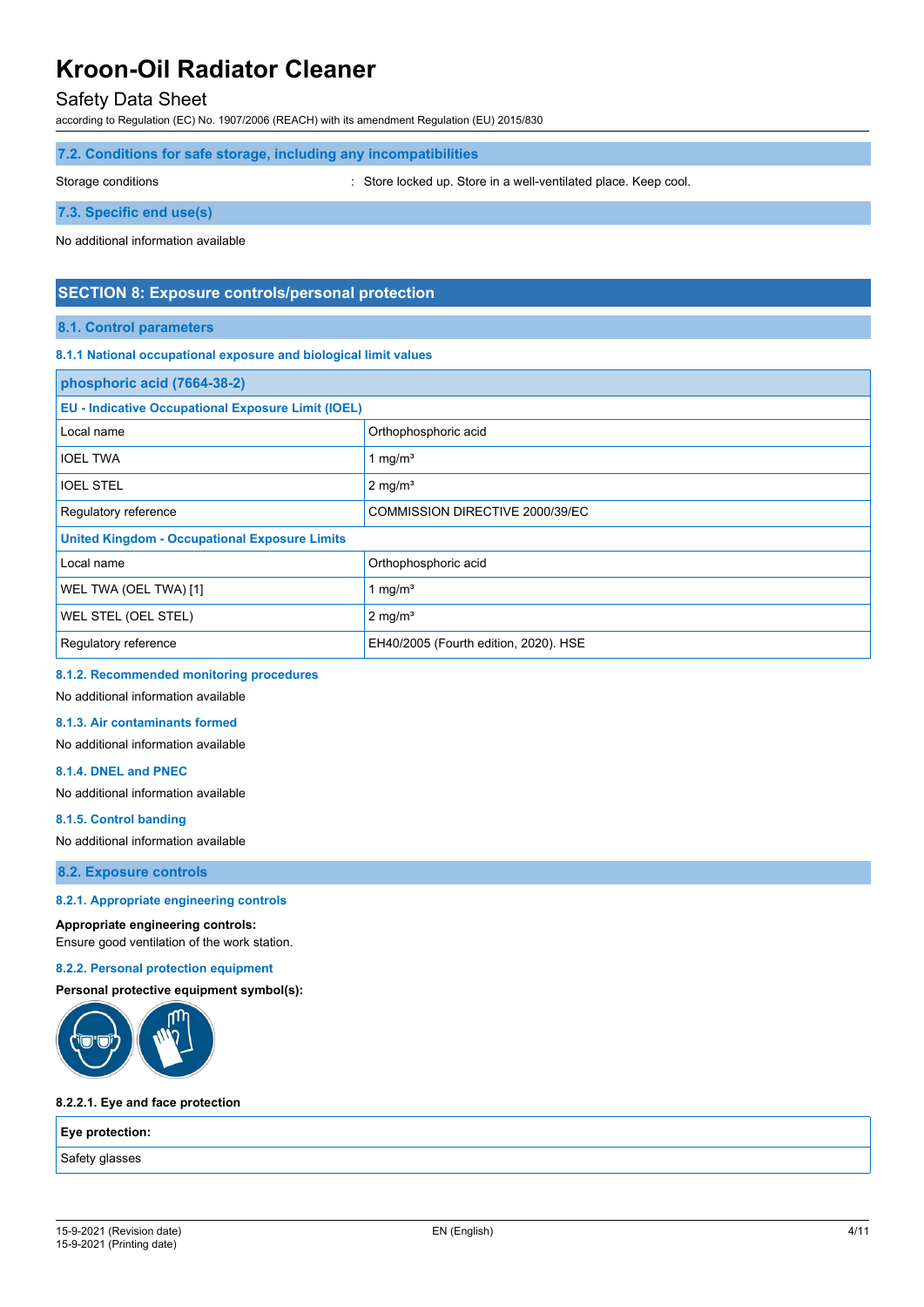### Safety Data Sheet

according to Regulation (EC) No. 1907/2006 (REACH) with its amendment Regulation (EU) 2015/830

#### **7.2. Conditions for safe storage, including any incompatibilities**

Storage conditions : Store locked up. Store in a well-ventilated place. Keep cool.

**7.3. Specific end use(s)**

No additional information available

#### **SECTION 8: Exposure controls/personal protection**

#### **8.1. Control parameters**

#### **8.1.1 National occupational exposure and biological limit values**

| phosphoric acid (7664-38-2)                               |                                       |  |  |
|-----------------------------------------------------------|---------------------------------------|--|--|
| <b>EU - Indicative Occupational Exposure Limit (IOEL)</b> |                                       |  |  |
| Local name                                                | Orthophosphoric acid                  |  |  |
| <b>IOEL TWA</b>                                           | 1 mg/ $m3$                            |  |  |
| <b>IOEL STEL</b>                                          | $2 \text{ mg/m}^3$                    |  |  |
| Regulatory reference                                      | COMMISSION DIRECTIVE 2000/39/EC       |  |  |
| <b>United Kingdom - Occupational Exposure Limits</b>      |                                       |  |  |
| Local name                                                | Orthophosphoric acid                  |  |  |
| WEL TWA (OEL TWA) [1]                                     | 1 mg/ $m3$                            |  |  |
| WEL STEL (OEL STEL)                                       | $2 \text{ mg/m}^3$                    |  |  |
| Regulatory reference                                      | EH40/2005 (Fourth edition, 2020). HSE |  |  |

#### **8.1.2. Recommended monitoring procedures**

No additional information available

#### **8.1.3. Air contaminants formed**

No additional information available

#### **8.1.4. DNEL and PNEC**

No additional information available

#### **8.1.5. Control banding**

No additional information available

**8.2. Exposure controls**

#### **8.2.1. Appropriate engineering controls**

**Appropriate engineering controls:** Ensure good ventilation of the work station.

#### **8.2.2. Personal protection equipment**

#### **Personal protective equipment symbol(s):**



#### **8.2.2.1. Eye and face protection**

**Eye protection:**

Safety glasses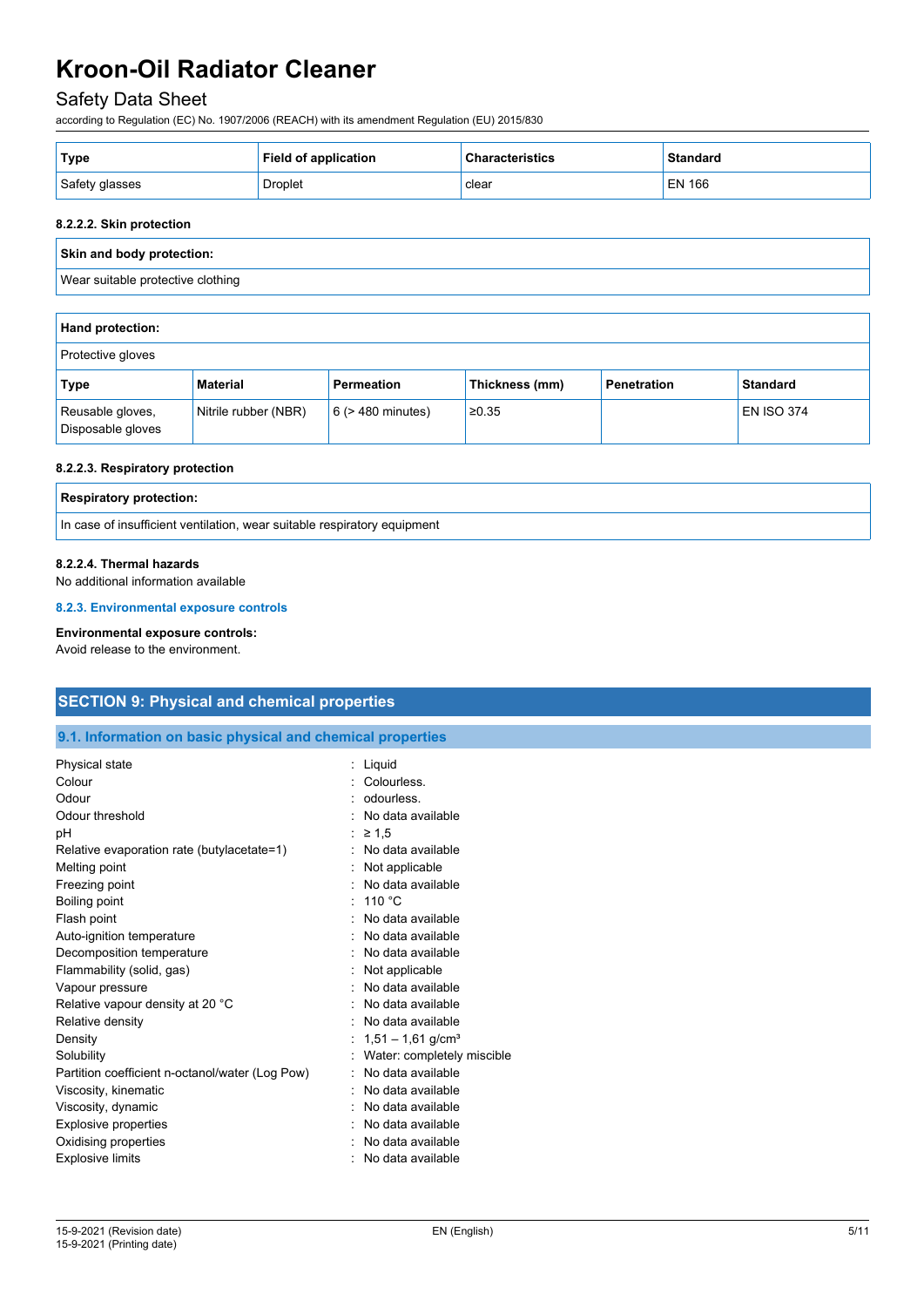## Safety Data Sheet

according to Regulation (EC) No. 1907/2006 (REACH) with its amendment Regulation (EU) 2015/830

| <b>∣Type</b>   | <b>Field of application</b> | <b>Characteristics</b> | <b>Standard</b> |
|----------------|-----------------------------|------------------------|-----------------|
| Safety glasses | Droplet                     | clear                  | EN 166          |

#### **8.2.2.2. Skin protection**

#### **Skin and body protection:**

Wear suitable protective clothing

| <b>Hand protection:</b>               |                      |                        |                |                    |                   |
|---------------------------------------|----------------------|------------------------|----------------|--------------------|-------------------|
| Protective gloves                     |                      |                        |                |                    |                   |
| Type                                  | <b>Material</b>      | <b>Permeation</b>      | Thickness (mm) | <b>Penetration</b> | <b>Standard</b>   |
| Reusable gloves,<br>Disposable gloves | Nitrile rubber (NBR) | $6$ ( $>$ 480 minutes) | ≥0.35          |                    | <b>EN ISO 374</b> |

#### **8.2.2.3. Respiratory protection**

| <b>Respiratory protection:</b>                                           |  |
|--------------------------------------------------------------------------|--|
| In case of insufficient ventilation, wear suitable respiratory equipment |  |

#### **8.2.2.4. Thermal hazards**

No additional information available

**8.2.3. Environmental exposure controls**

#### **Environmental exposure controls:**

Avoid release to the environment.

### **SECTION 9: Physical and chemical properties**

#### **9.1. Information on basic physical and chemical properties**

| Physical state                                  | Liquid                          |
|-------------------------------------------------|---------------------------------|
| Colour                                          | Colourless.                     |
| Odour                                           | odourless.                      |
| Odour threshold                                 | No data available               |
| рH                                              | $\geq 1.5$                      |
| Relative evaporation rate (butylacetate=1)      | No data available               |
| Melting point                                   | Not applicable                  |
| Freezing point                                  | No data available               |
| Boiling point                                   | 110 $\degree$ C                 |
| Flash point                                     | No data available               |
| Auto-ignition temperature                       | No data available               |
| Decomposition temperature                       | No data available               |
| Flammability (solid, gas)                       | Not applicable                  |
| Vapour pressure                                 | No data available               |
| Relative vapour density at 20 °C                | No data available               |
| Relative density                                | No data available               |
| Density                                         | $1,51 - 1,61$ g/cm <sup>3</sup> |
| Solubility                                      | Water: completely miscible      |
| Partition coefficient n-octanol/water (Log Pow) | No data available               |
| Viscosity, kinematic                            | No data available               |
| Viscosity, dynamic                              | No data available               |
| Explosive properties                            | No data available               |
| Oxidising properties                            | No data available               |
| <b>Explosive limits</b>                         | No data available               |
|                                                 |                                 |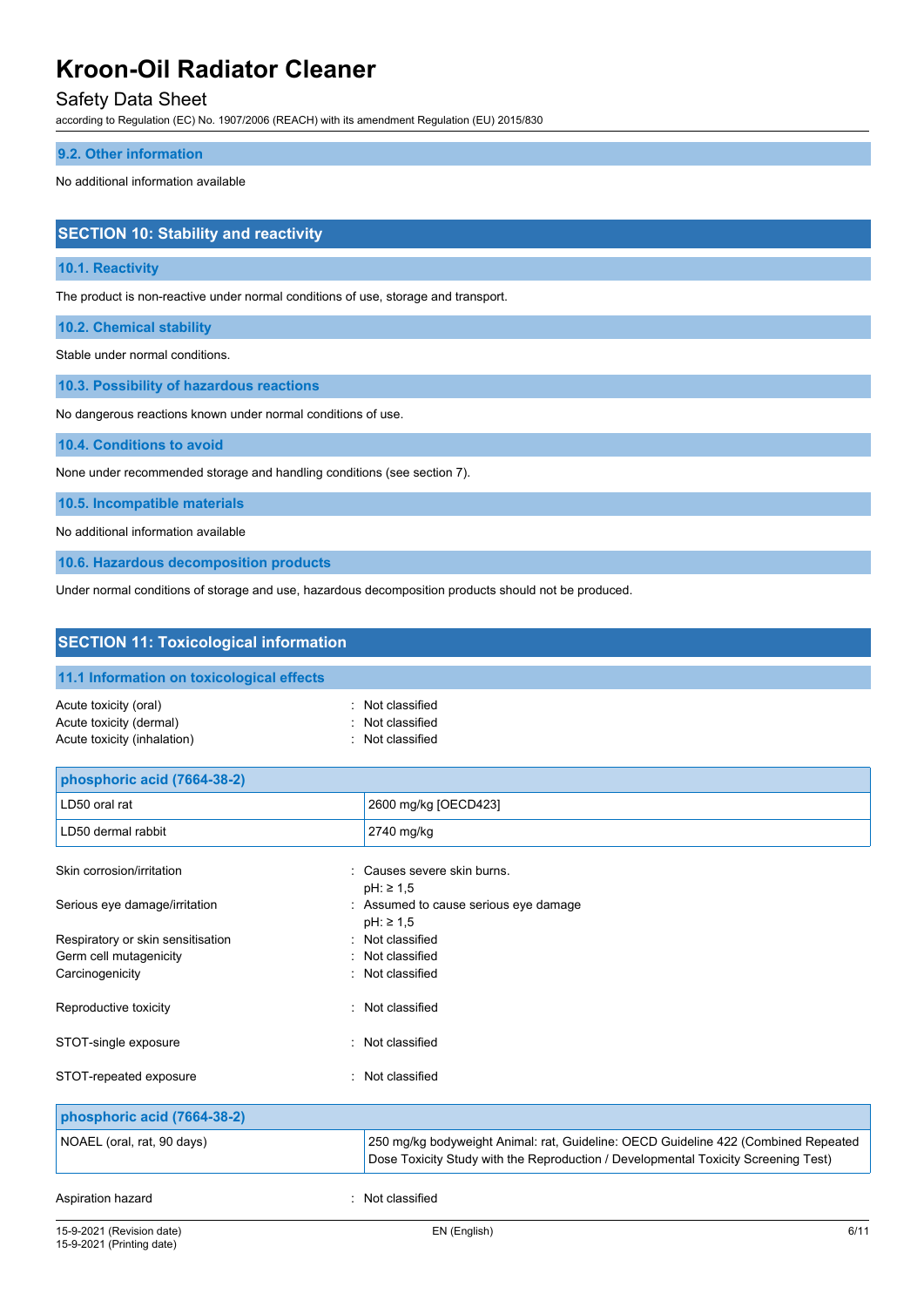### Safety Data Sheet

according to Regulation (EC) No. 1907/2006 (REACH) with its amendment Regulation (EU) 2015/830

#### **9.2. Other information**

No additional information available

### **SECTION 10: Stability and reactivity**

#### **10.1. Reactivity**

The product is non-reactive under normal conditions of use, storage and transport.

**10.2. Chemical stability**

Stable under normal conditions.

**10.3. Possibility of hazardous reactions**

No dangerous reactions known under normal conditions of use.

**10.4. Conditions to avoid**

None under recommended storage and handling conditions (see section 7).

**10.5. Incompatible materials**

No additional information available

**10.6. Hazardous decomposition products**

Under normal conditions of storage and use, hazardous decomposition products should not be produced.

| <b>SECTION 11: Toxicological information</b>                                    |                                                                                                                                                                          |  |  |
|---------------------------------------------------------------------------------|--------------------------------------------------------------------------------------------------------------------------------------------------------------------------|--|--|
| 11.1 Information on toxicological effects                                       |                                                                                                                                                                          |  |  |
| Acute toxicity (oral)<br>Acute toxicity (dermal)<br>Acute toxicity (inhalation) | Not classified<br>Not classified<br>Not classified                                                                                                                       |  |  |
| phosphoric acid (7664-38-2)                                                     |                                                                                                                                                                          |  |  |
| LD50 oral rat                                                                   | 2600 mg/kg [OECD423]                                                                                                                                                     |  |  |
| LD50 dermal rabbit                                                              | 2740 mg/kg                                                                                                                                                               |  |  |
| Skin corrosion/irritation                                                       | : Causes severe skin burns.<br>$pH: \geq 1.5$                                                                                                                            |  |  |
| Serious eye damage/irritation                                                   | : Assumed to cause serious eye damage<br>$pH: \geq 1.5$                                                                                                                  |  |  |
| Respiratory or skin sensitisation                                               | : Not classified                                                                                                                                                         |  |  |
| Germ cell mutagenicity                                                          | : Not classified<br>Not classified                                                                                                                                       |  |  |
| Carcinogenicity                                                                 |                                                                                                                                                                          |  |  |
| Reproductive toxicity                                                           | : Not classified                                                                                                                                                         |  |  |
| STOT-single exposure                                                            | : Not classified                                                                                                                                                         |  |  |
| STOT-repeated exposure                                                          | : Not classified                                                                                                                                                         |  |  |
| phosphoric acid (7664-38-2)                                                     |                                                                                                                                                                          |  |  |
| NOAEL (oral, rat, 90 days)                                                      | 250 mg/kg bodyweight Animal: rat, Guideline: OECD Guideline 422 (Combined Repeated<br>Dose Toxicity Study with the Reproduction / Developmental Toxicity Screening Test) |  |  |
| Aspiration hazard                                                               | Not classified                                                                                                                                                           |  |  |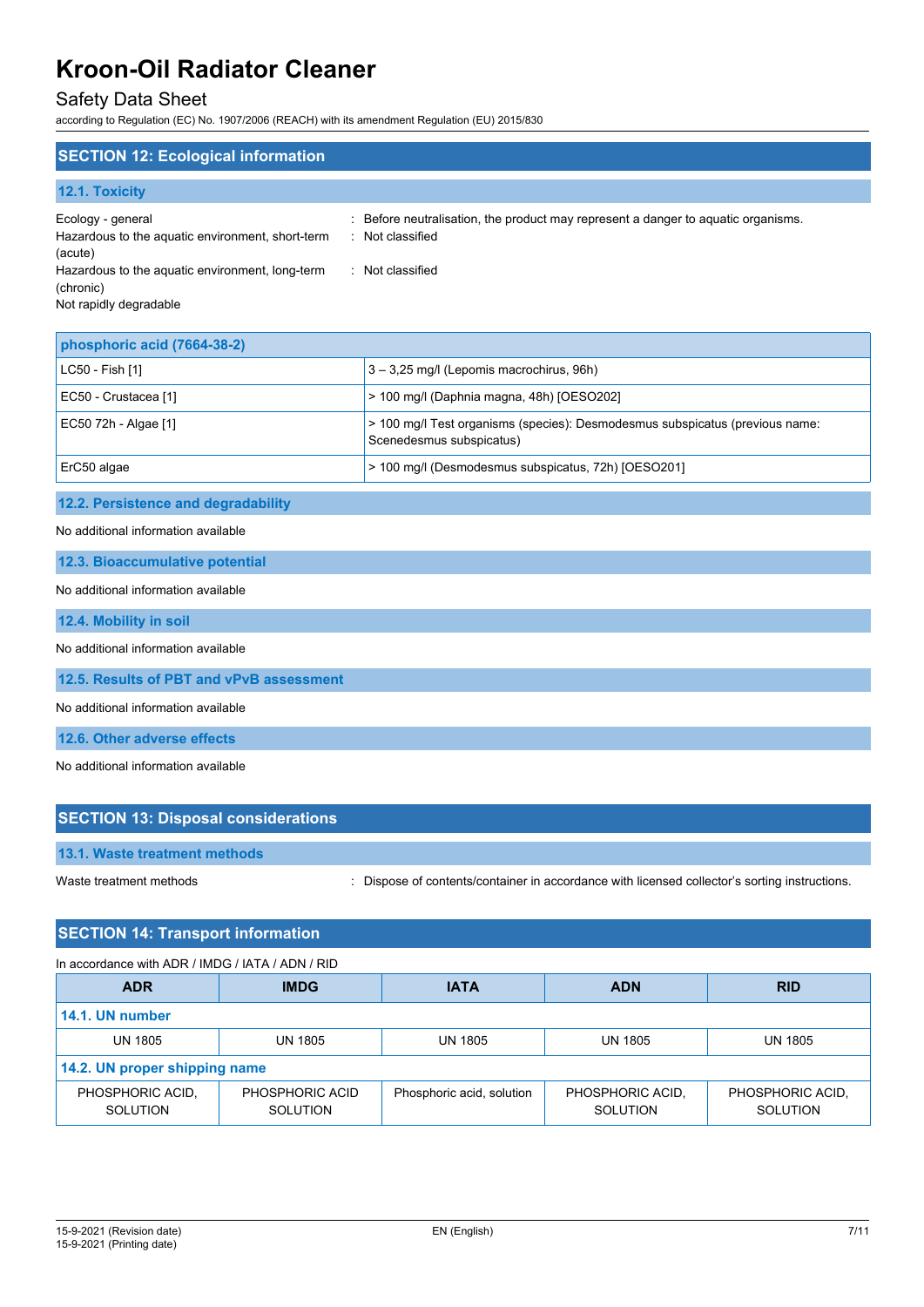## Safety Data Sheet

according to Regulation (EC) No. 1907/2006 (REACH) with its amendment Regulation (EU) 2015/830

| <b>SECTION 12: Ecological information</b>                                        |                                                                                                     |
|----------------------------------------------------------------------------------|-----------------------------------------------------------------------------------------------------|
| 12.1. Toxicity                                                                   |                                                                                                     |
| Ecology - general<br>Hazardous to the aquatic environment, short-term<br>(acute) | Before neutralisation, the product may represent a danger to aquatic organisms.<br>: Not classified |
| Hazardous to the aquatic environment, long-term<br>(chronic)                     | Not classified                                                                                      |

Not rapidly degradable

| phosphoric acid (7664-38-2) |                                                                                                          |
|-----------------------------|----------------------------------------------------------------------------------------------------------|
| LC50 - Fish [1]             | 3 - 3,25 mg/l (Lepomis macrochirus, 96h)                                                                 |
| EC50 - Crustacea [1]        | $>$ 100 mg/l (Daphnia magna, 48h) [OESO202]                                                              |
| EC50 72h - Algae [1]        | > 100 mg/l Test organisms (species): Desmodesmus subspicatus (previous name:<br>Scenedesmus subspicatus) |
| ErC50 algae                 | > 100 mg/l (Desmodesmus subspicatus, 72h) [OESO201]                                                      |

## **12.2. Persistence and degradability**

No additional information available

**12.3. Bioaccumulative potential**

### No additional information available

**12.4. Mobility in soil**

No additional information available

**12.5. Results of PBT and vPvB assessment**

No additional information available

**12.6. Other adverse effects**

No additional information available

| <b>SECTION 13: Disposal considerations</b> |                                                                                               |
|--------------------------------------------|-----------------------------------------------------------------------------------------------|
| 13.1. Waste treatment methods              |                                                                                               |
| Waste treatment methods                    | : Dispose of contents/container in accordance with licensed collector's sorting instructions. |

### **SECTION 14: Transport information**

In accordance with ADR / IMDG / IATA / ADN / RID

| <b>ADR</b>                    | <b>IMDG</b>                 | <b>IATA</b>               | <b>ADN</b>                   | <b>RID</b>                   |
|-------------------------------|-----------------------------|---------------------------|------------------------------|------------------------------|
| 14.1. UN number               |                             |                           |                              |                              |
| <b>UN 1805</b>                | <b>UN 1805</b>              | <b>UN 1805</b>            | <b>UN 1805</b>               | UN 1805                      |
| 14.2. UN proper shipping name |                             |                           |                              |                              |
| PHOSPHORIC ACID.<br>SOLUTION  | PHOSPHORIC ACID<br>SOLUTION | Phosphoric acid, solution | PHOSPHORIC ACID,<br>SOLUTION | PHOSPHORIC ACID.<br>SOLUTION |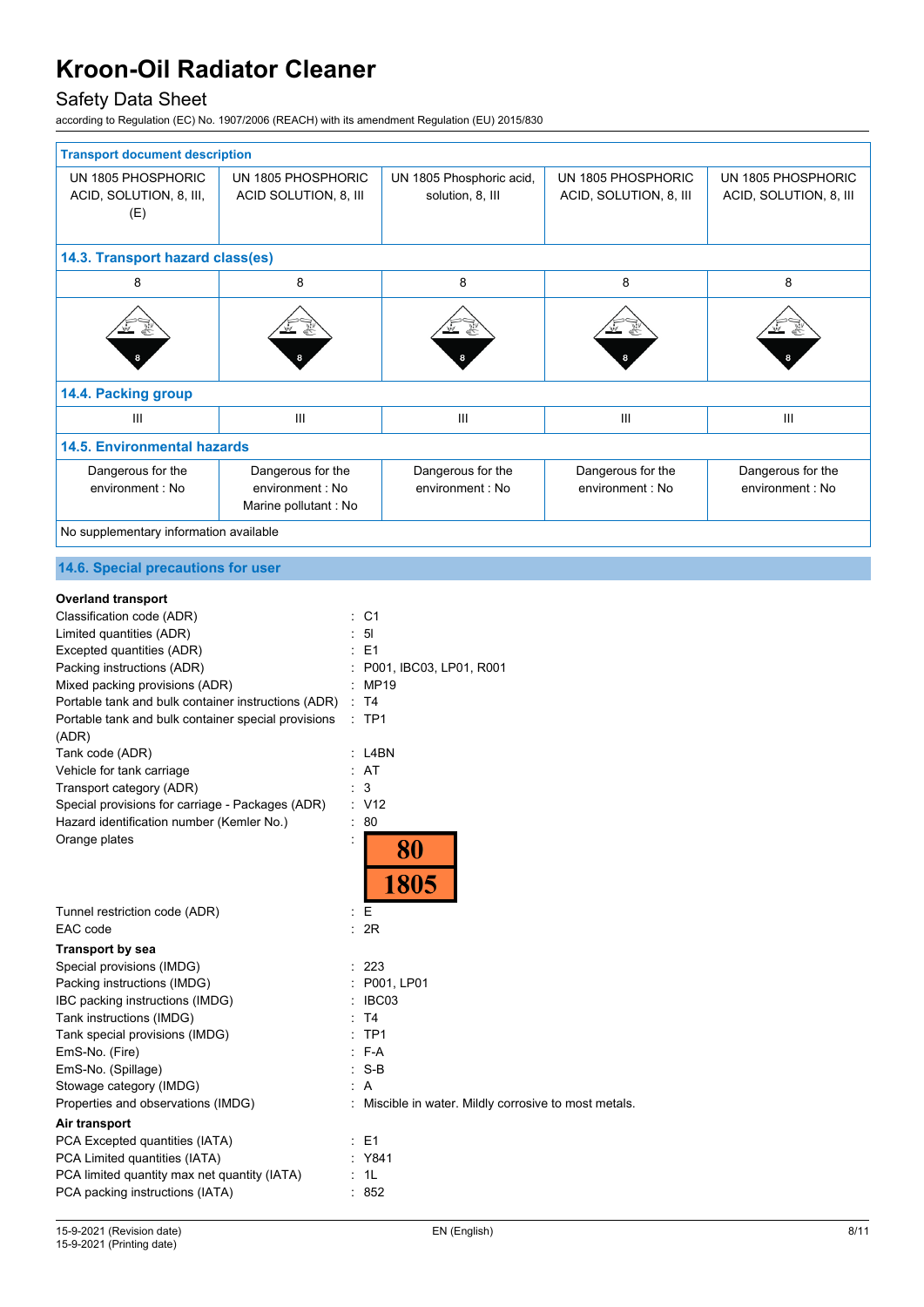## Safety Data Sheet

according to Regulation (EC) No. 1907/2006 (REACH) with its amendment Regulation (EU) 2015/830

| <b>Transport document description</b>  |                       |                          |                        |                        |
|----------------------------------------|-----------------------|--------------------------|------------------------|------------------------|
| UN 1805 PHOSPHORIC                     | UN 1805 PHOSPHORIC    | UN 1805 Phosphoric acid, | UN 1805 PHOSPHORIC     | UN 1805 PHOSPHORIC     |
| ACID, SOLUTION, 8, III,                | ACID SOLUTION, 8, III | solution, 8, III         | ACID, SOLUTION, 8, III | ACID, SOLUTION, 8, III |
| (E)                                    |                       |                          |                        |                        |
|                                        |                       |                          |                        |                        |
| 14.3. Transport hazard class(es)       |                       |                          |                        |                        |
| 8                                      | 8                     | 8                        | 8                      | 8                      |
|                                        |                       |                          |                        |                        |
|                                        |                       |                          |                        |                        |
|                                        |                       |                          |                        |                        |
|                                        |                       |                          |                        |                        |
| 14.4. Packing group                    |                       |                          |                        |                        |
| $\mathbf{III}$                         | III                   | $\mathbf{III}$           | III                    | $\mathbf{III}$         |
| <b>14.5. Environmental hazards</b>     |                       |                          |                        |                        |
| Dangerous for the                      | Dangerous for the     | Dangerous for the        | Dangerous for the      | Dangerous for the      |
| environment : No                       | environment : No      | environment : No         | environment : No       | environment : No       |
|                                        | Marine pollutant : No |                          |                        |                        |
| No supplementary information available |                       |                          |                        |                        |

## **14.6. Special precautions for user**

| <b>Overland transport</b>                           |                                                     |
|-----------------------------------------------------|-----------------------------------------------------|
| Classification code (ADR)                           | C <sub>1</sub>                                      |
| Limited quantities (ADR)                            | 5 <sub>l</sub>                                      |
| Excepted quantities (ADR)                           | E1                                                  |
| Packing instructions (ADR)                          | P001, IBC03, LP01, R001                             |
| Mixed packing provisions (ADR)                      | MP19                                                |
| Portable tank and bulk container instructions (ADR) | <b>T4</b><br>$\ddot{\cdot}$                         |
| Portable tank and bulk container special provisions | $:$ TP1                                             |
| (ADR)                                               |                                                     |
| Tank code (ADR)                                     | L4BN                                                |
| Vehicle for tank carriage                           | AT                                                  |
| Transport category (ADR)                            | 3                                                   |
| Special provisions for carriage - Packages (ADR)    | : V12                                               |
| Hazard identification number (Kemler No.)           | 80                                                  |
| Orange plates                                       | 80<br>1805                                          |
| Tunnel restriction code (ADR)                       | E                                                   |
| EAC code                                            | 2R                                                  |
| <b>Transport by sea</b>                             |                                                     |
| Special provisions (IMDG)                           | 223                                                 |
| Packing instructions (IMDG)                         | P001, LP01                                          |
| IBC packing instructions (IMDG)                     | IBC03                                               |
| Tank instructions (IMDG)                            | T <sub>4</sub>                                      |
| Tank special provisions (IMDG)                      | TP <sub>1</sub>                                     |
| EmS-No. (Fire)                                      | F-A                                                 |
| EmS-No. (Spillage)                                  | $S-B$                                               |
| Stowage category (IMDG)                             | A                                                   |
| Properties and observations (IMDG)                  | Miscible in water. Mildly corrosive to most metals. |
| Air transport                                       |                                                     |
| PCA Excepted quantities (IATA)                      | $E = 1$                                             |
| PCA Limited quantities (IATA)                       | Y841                                                |
| PCA limited quantity max net quantity (IATA)        | 1L                                                  |
| PCA packing instructions (IATA)                     | 852                                                 |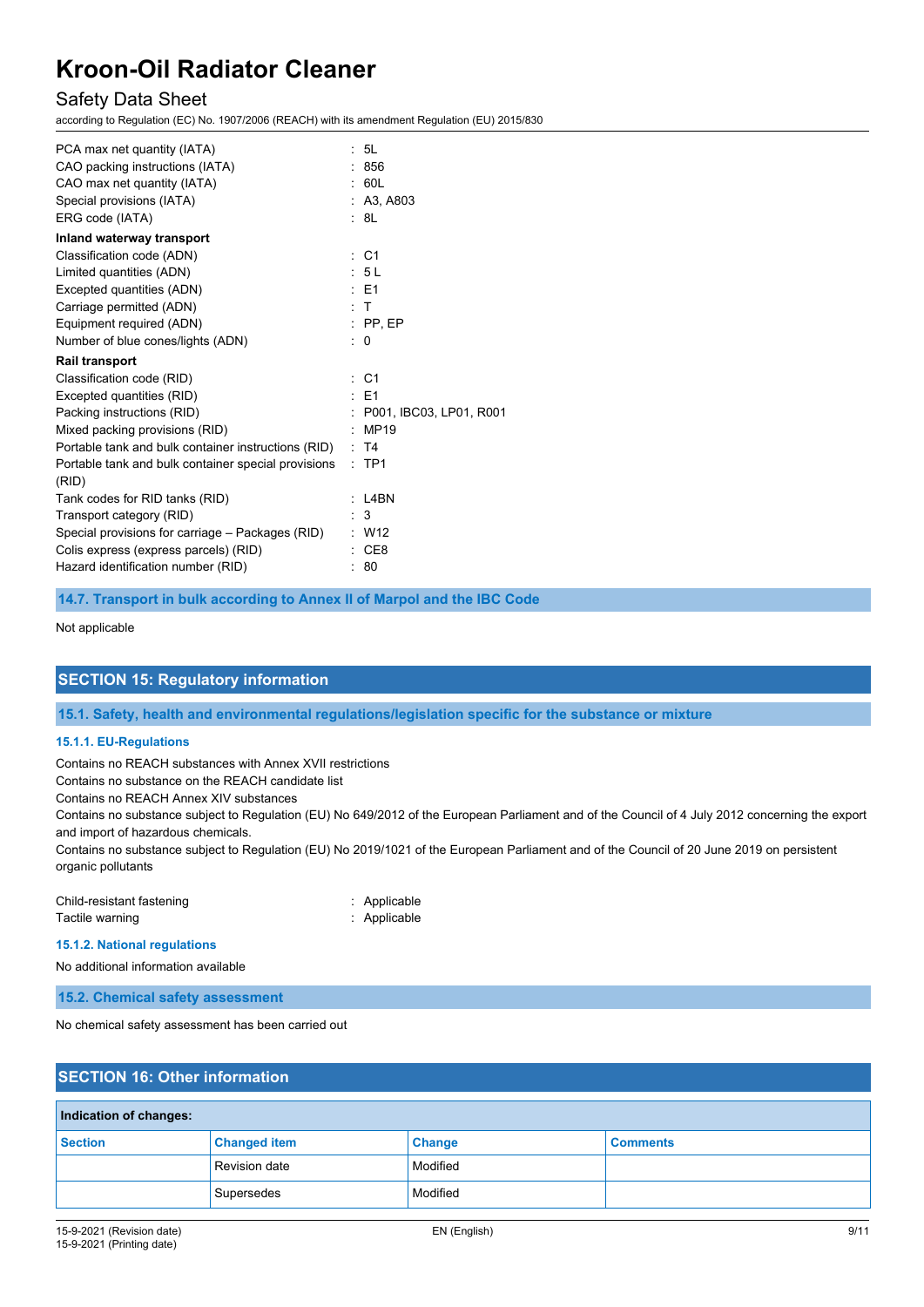### Safety Data Sheet

according to Regulation (EC) No. 1907/2006 (REACH) with its amendment Regulation (EU) 2015/830

| PCA max net quantity (IATA)                         | : 5L                      |
|-----------------------------------------------------|---------------------------|
| CAO packing instructions (IATA)                     | : 856                     |
| CAO max net quantity (IATA)                         | : 60L                     |
| Special provisions (IATA)                           | : A3, A803                |
| ERG code (IATA)                                     | : 8L                      |
| Inland waterway transport                           |                           |
| Classification code (ADN)                           | $\therefore$ C1           |
| Limited quantities (ADN)                            | : 5L                      |
| Excepted quantities (ADN)                           | $E = 1$                   |
| Carriage permitted (ADN)                            | $\pm$ T                   |
| Equipment required (ADN)                            | $:$ PP, EP                |
| Number of blue cones/lights (ADN)                   | $\therefore$ 0            |
| <b>Rail transport</b>                               |                           |
| Classification code (RID)                           | $\therefore$ C1           |
| Excepted quantities (RID)                           | $E = 1$                   |
| Packing instructions (RID)                          | : P001, IBC03, LP01, R001 |
| Mixed packing provisions (RID)                      | MP19                      |
| Portable tank and bulk container instructions (RID) | : T4                      |
| Portable tank and bulk container special provisions | $:$ TP1                   |
| (RID)                                               |                           |
| Tank codes for RID tanks (RID)                      | $:$ L4BN                  |
| Transport category (RID)                            | 3                         |
| Special provisions for carriage - Packages (RID)    | $:$ W12                   |
| Colis express (express parcels) (RID)               | CE8                       |
| Hazard identification number (RID)                  | : 80                      |

**14.7. Transport in bulk according to Annex II of Marpol and the IBC Code**

Not applicable

### **SECTION 15: Regulatory information**

**15.1. Safety, health and environmental regulations/legislation specific for the substance or mixture**

#### **15.1.1. EU-Regulations**

Contains no REACH substances with Annex XVII restrictions

Contains no substance on the REACH candidate list

Contains no REACH Annex XIV substances

Contains no substance subject to Regulation (EU) No 649/2012 of the European Parliament and of the Council of 4 July 2012 concerning the export and import of hazardous chemicals.

Contains no substance subject to Regulation (EU) No 2019/1021 of the European Parliament and of the Council of 20 June 2019 on persistent organic pollutants

| Child-resistant fastening | : Applicable |
|---------------------------|--------------|
| Tactile warning           | : Applicable |

**15.1.2. National regulations**

No additional information available

**15.2. Chemical safety assessment**

No chemical safety assessment has been carried out

### **SECTION 16: Other information**

| Indication of changes: |                     |               |                 |  |
|------------------------|---------------------|---------------|-----------------|--|
| <b>Section</b>         | <b>Changed item</b> | <b>Change</b> | <b>Comments</b> |  |
|                        | Revision date       | Modified      |                 |  |
|                        | Supersedes          | Modified      |                 |  |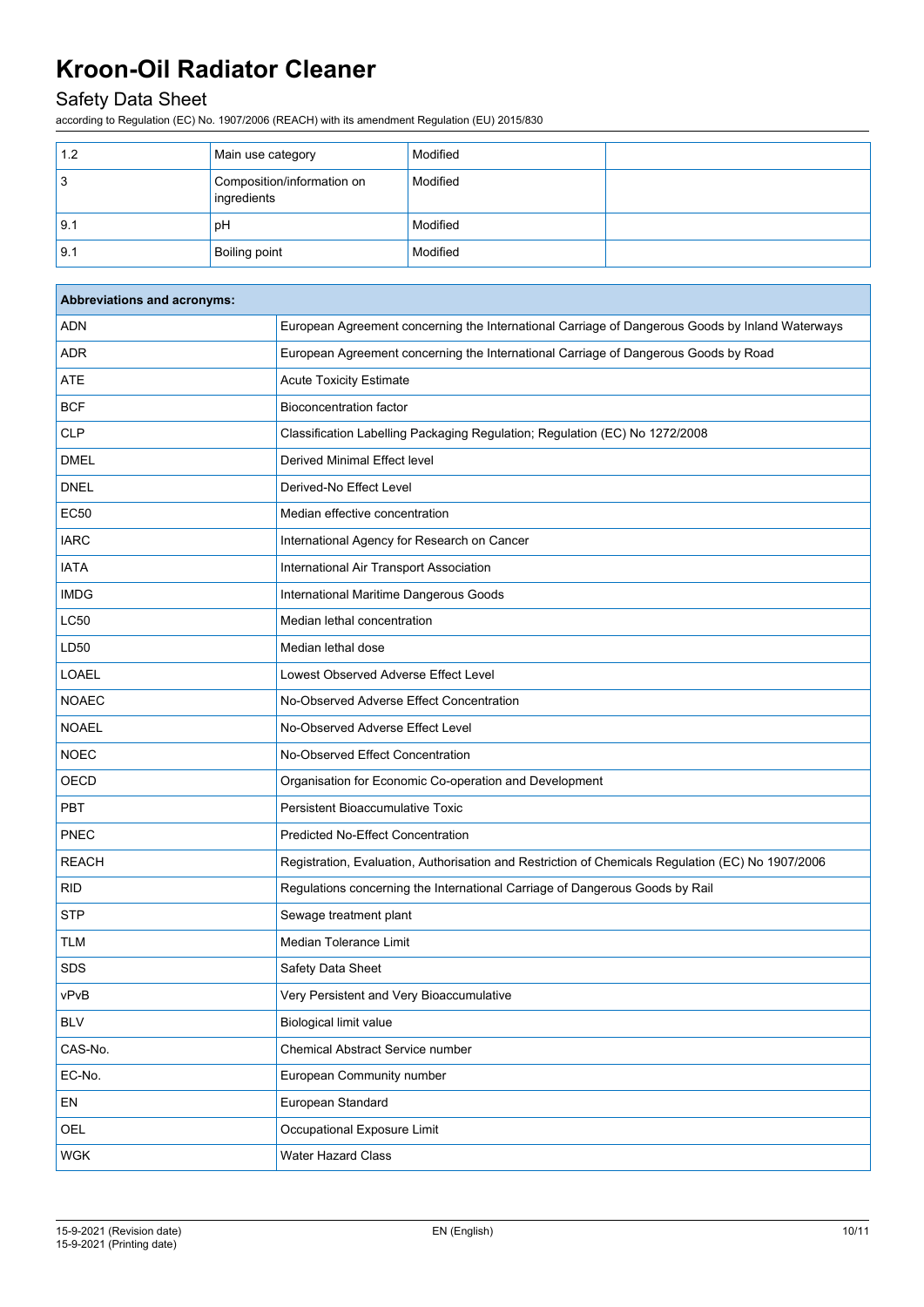## Safety Data Sheet

according to Regulation (EC) No. 1907/2006 (REACH) with its amendment Regulation (EU) 2015/830

| 1.2               | Main use category                         | Modified |  |
|-------------------|-------------------------------------------|----------|--|
| 3                 | Composition/information on<br>ingredients | Modified |  |
| 9.1               | pH                                        | Modified |  |
| $\vert 9.1 \vert$ | Boiling point                             | Modified |  |

| Abbreviations and acronyms: |                                                                                                   |  |
|-----------------------------|---------------------------------------------------------------------------------------------------|--|
| <b>ADN</b>                  | European Agreement concerning the International Carriage of Dangerous Goods by Inland Waterways   |  |
| <b>ADR</b>                  | European Agreement concerning the International Carriage of Dangerous Goods by Road               |  |
| ATE                         | <b>Acute Toxicity Estimate</b>                                                                    |  |
| <b>BCF</b>                  | <b>Bioconcentration factor</b>                                                                    |  |
| <b>CLP</b>                  | Classification Labelling Packaging Regulation; Regulation (EC) No 1272/2008                       |  |
| <b>DMEL</b>                 | Derived Minimal Effect level                                                                      |  |
| <b>DNEL</b>                 | Derived-No Effect Level                                                                           |  |
| <b>EC50</b>                 | Median effective concentration                                                                    |  |
| <b>IARC</b>                 | International Agency for Research on Cancer                                                       |  |
| <b>IATA</b>                 | International Air Transport Association                                                           |  |
| <b>IMDG</b>                 | International Maritime Dangerous Goods                                                            |  |
| <b>LC50</b>                 | Median lethal concentration                                                                       |  |
| LD50                        | Median lethal dose                                                                                |  |
| <b>LOAEL</b>                | Lowest Observed Adverse Effect Level                                                              |  |
| <b>NOAEC</b>                | No-Observed Adverse Effect Concentration                                                          |  |
| <b>NOAEL</b>                | No-Observed Adverse Effect Level                                                                  |  |
| <b>NOEC</b>                 | No-Observed Effect Concentration                                                                  |  |
| OECD                        | Organisation for Economic Co-operation and Development                                            |  |
| PBT                         | <b>Persistent Bioaccumulative Toxic</b>                                                           |  |
| PNEC                        | <b>Predicted No-Effect Concentration</b>                                                          |  |
| <b>REACH</b>                | Registration, Evaluation, Authorisation and Restriction of Chemicals Regulation (EC) No 1907/2006 |  |
| <b>RID</b>                  | Regulations concerning the International Carriage of Dangerous Goods by Rail                      |  |
| <b>STP</b>                  | Sewage treatment plant                                                                            |  |
| <b>TLM</b>                  | Median Tolerance Limit                                                                            |  |
| <b>SDS</b>                  | Safety Data Sheet                                                                                 |  |
| vPvB                        | Very Persistent and Very Bioaccumulative                                                          |  |
| <b>BLV</b>                  | <b>Biological limit value</b>                                                                     |  |
| CAS-No.                     | Chemical Abstract Service number                                                                  |  |
| EC-No.                      | European Community number                                                                         |  |
| EN                          | European Standard                                                                                 |  |
| OEL                         | Occupational Exposure Limit                                                                       |  |
| <b>WGK</b>                  | <b>Water Hazard Class</b>                                                                         |  |